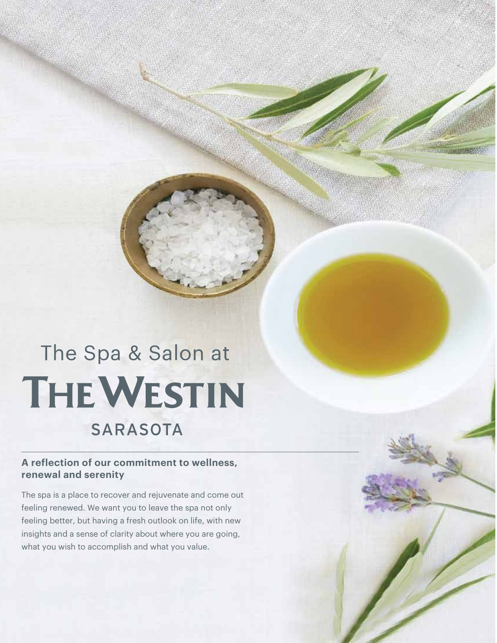## The Spa & Salon at **THE WESTIN SARASOTA**

#### **A reflection of our commitment to wellness, renewal and serenity**

The spa is a place to recover and rejuvenate and come out feeling renewed. We want you to leave the spa not only feeling better, but having a fresh outlook on life, with new insights and a sense of clarity about where you are going, what you wish to accomplish and what you value.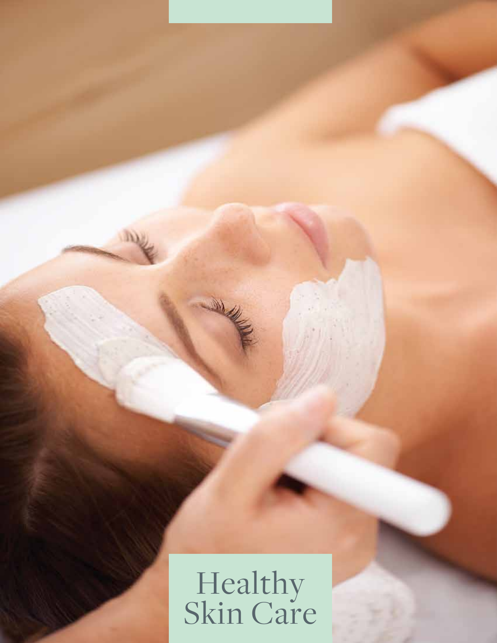## Healthy Skin Care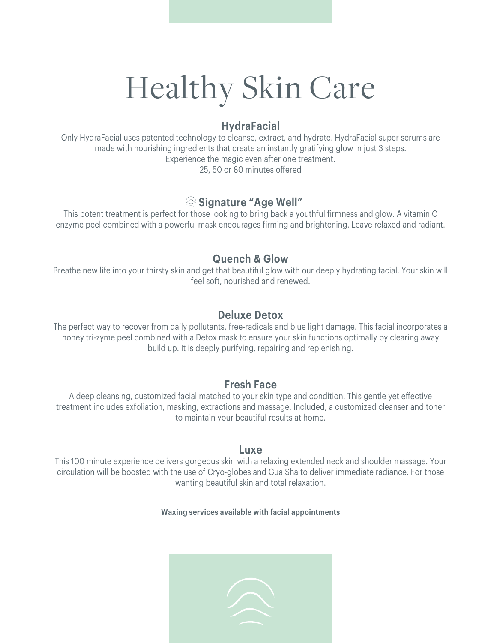# Healthy Skin Care

## **HydraFacial**

Only HydraFacial uses patented technology to cleanse, extract, and hydrate. HydraFacial super serums are made with nourishing ingredients that create an instantly gratifying glow in just 3 steps. Experience the magic even after one treatment. 25, 50 or 80 minutes offered

## **Signature "Age Well"**

This potent treatment is perfect for those looking to bring back a youthful firmness and glow. A vitamin C enzyme peel combined with a powerful mask encourages firming and brightening. Leave relaxed and radiant.

## **Quench & Glow**

Breathe new life into your thirsty skin and get that beautiful glow with our deeply hydrating facial. Your skin will feel soft, nourished and renewed.

#### **Deluxe Detox**

The perfect way to recover from daily pollutants, free-radicals and blue light damage. This facial incorporates a honey tri-zyme peel combined with a Detox mask to ensure your skin functions optimally by clearing away build up. It is deeply purifying, repairing and replenishing.

#### **Fresh Face**

A deep cleansing, customized facial matched to your skin type and condition. This gentle yet effective treatment includes exfoliation, masking, extractions and massage. Included, a customized cleanser and toner to maintain your beautiful results at home.

#### **Luxe**

This 100 minute experience delivers gorgeous skin with a relaxing extended neck and shoulder massage. Your circulation will be boosted with the use of Cryo-globes and Gua Sha to deliver immediate radiance. For those wanting beautiful skin and total relaxation.

#### **Waxing services available with facial appointments**

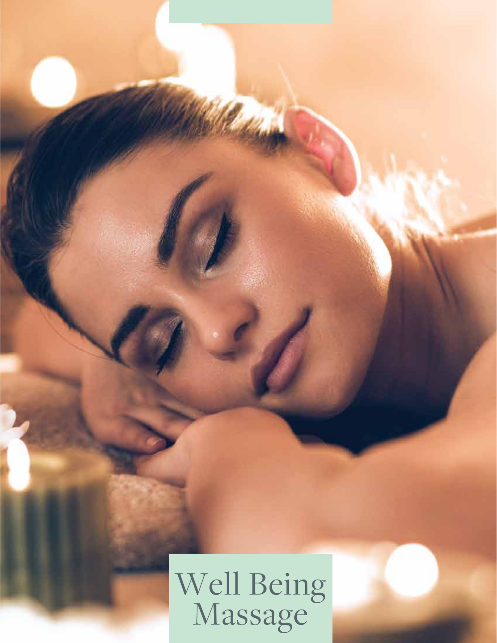

24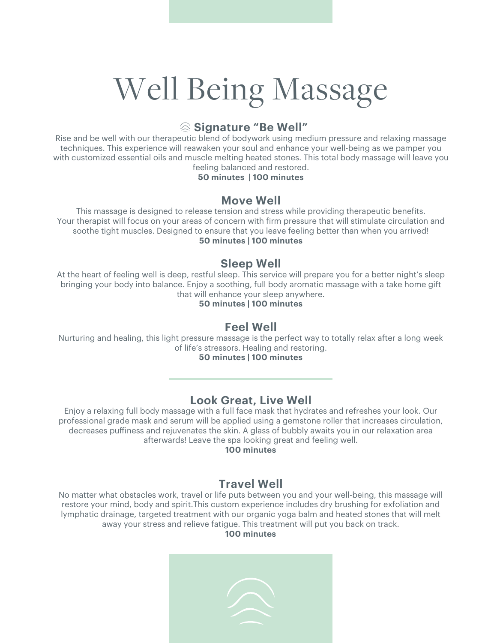# Well Being Massage

## **Signature "Be Well"**

Rise and be well with our therapeutic blend of bodywork using medium pressure and relaxing massage techniques. This experience will reawaken your soul and enhance your well-being as we pamper you with customized essential oils and muscle melting heated stones. This total body massage will leave you feeling balanced and restored.

#### **50 minutes | 100 minutes**

#### **Move Well**

This massage is designed to release tension and stress while providing therapeutic benefits. Your therapist will focus on your areas of concern with firm pressure that will stimulate circulation and soothe tight muscles. Designed to ensure that you leave feeling better than when you arrived! **50 minutes | 100 minutes** 

## **Sleep Well**

At the heart of feeling well is deep, restful sleep. This service will prepare you for a better night's sleep bringing your body into balance. Enjoy a soothing, full body aromatic massage with a take home gift that will enhance your sleep anywhere.

#### **50 minutes | 100 minutes**

#### **Feel Well**

Nurturing and healing, this light pressure massage is the perfect way to totally relax after a long week of life's stressors. Healing and restoring.

**50 minutes | 100 minutes** 

## **Look Great, Live Well**

Enjoy a relaxing full body massage with a full face mask that hydrates and refreshes your look. Our professional grade mask and serum will be applied using a gemstone roller that increases circulation, decreases puffiness and rejuvenates the skin. A glass of bubbly awaits you in our relaxation area afterwards! Leave the spa looking great and feeling well.

**100 minutes** 

## **Travel Well**

No matter what obstacles work, travel or life puts between you and your well-being, this massage will restore your mind, body and spirit.This custom experience includes dry brushing for exfoliation and lymphatic drainage, targeted treatment with our organic yoga balm and heated stones that will melt away your stress and relieve fatigue. This treatment will put you back on track.

**100 minutes** 

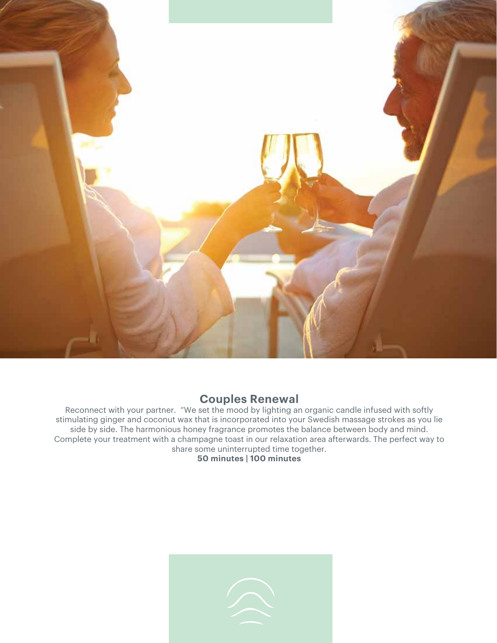

## **Couples Renewal**

Reconnect with your partner. "We set the mood by lighting an organic candle infused with softly stimulating ginger and coconut wax that is incorporated into your Swedish massage strokes as you lie side by side. The harmonious honey fragrance promotes the balance between body and mind. Complete your treatment with a champagne toast in our relaxation area afterwards. The perfect way to share some uninterrupted time together.

**50 minutes | 100 minutes** 

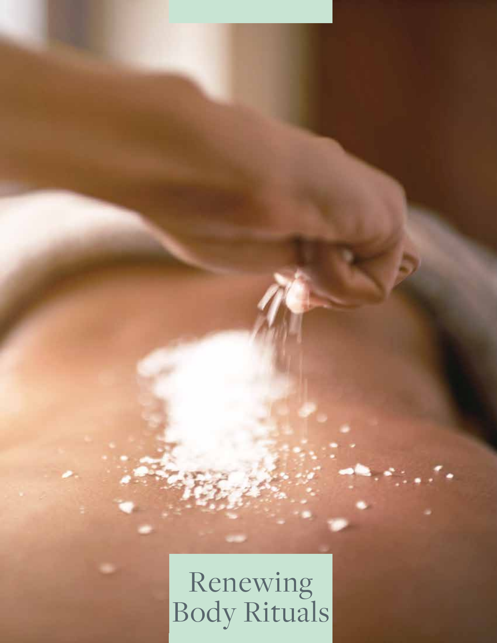## Renewing Body Rituals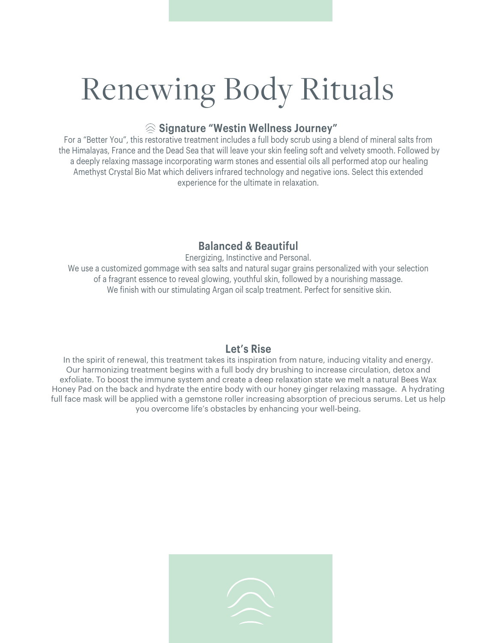# Renewing Body Rituals

## **Signature "Westin Wellness Journey"**

For a "Better You", this restorative treatment includes a full body scrub using a blend of mineral salts from the Himalayas, France and the Dead Sea that will leave your skin feeling soft and velvety smooth. Followed by a deeply relaxing massage incorporating warm stones and essential oils all performed atop our healing Amethyst Crystal Bio Mat which delivers infrared technology and negative ions. Select this extended experience for the ultimate in relaxation.

## **Balanced & Beautiful**

Energizing, Instinctive and Personal.

We use a customized gommage with sea salts and natural sugar grains personalized with your selection of a fragrant essence to reveal glowing, youthful skin, followed by a nourishing massage. We finish with our stimulating Argan oil scalp treatment. Perfect for sensitive skin.

## **Let's Rise**

In the spirit of renewal, this treatment takes its inspiration from nature, inducing vitality and energy. Our harmonizing treatment begins with a full body dry brushing to increase circulation, detox and exfoliate. To boost the immune system and create a deep relaxation state we melt a natural Bees Wax Honey Pad on the back and hydrate the entire body with our honey ginger relaxing massage. A hydrating full face mask will be applied with a gemstone roller increasing absorption of precious serums. Let us help you overcome life's obstacles by enhancing your well-being.

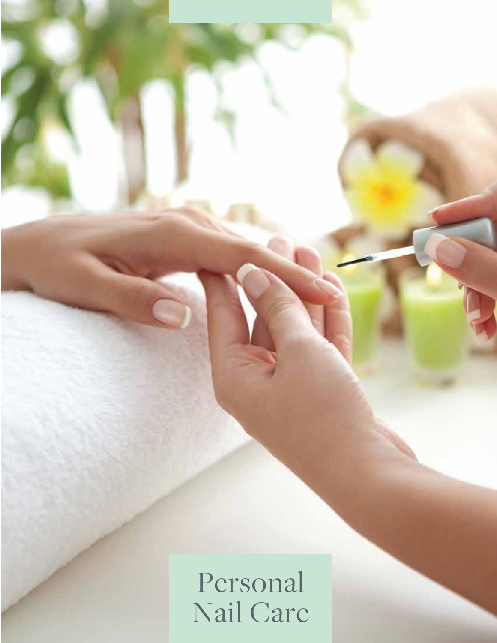Personal Nail Care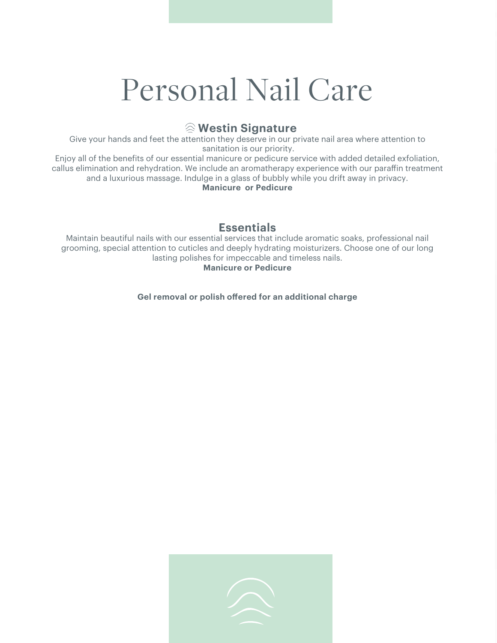## Personal Nail Care

## **Westin Signature**

Give your hands and feet the attention they deserve in our private nail area where attention to sanitation is our priority.

Enjoy all of the benefits of our essential manicure or pedicure service with added detailed exfoliation, callus elimination and rehydration. We include an aromatherapy experience with our paraffin treatment and a luxurious massage. Indulge in a glass of bubbly while you drift away in privacy. **Manicure or Pedicure** 

## **Essentials**

Maintain beautiful nails with our essential services that include aromatic soaks, professional nail grooming, special attention to cuticles and deeply hydrating moisturizers. Choose one of our long lasting polishes for impeccable and timeless nails. **Manicure or Pedicure** 

**Gel removal or polish offered for an additional charge**

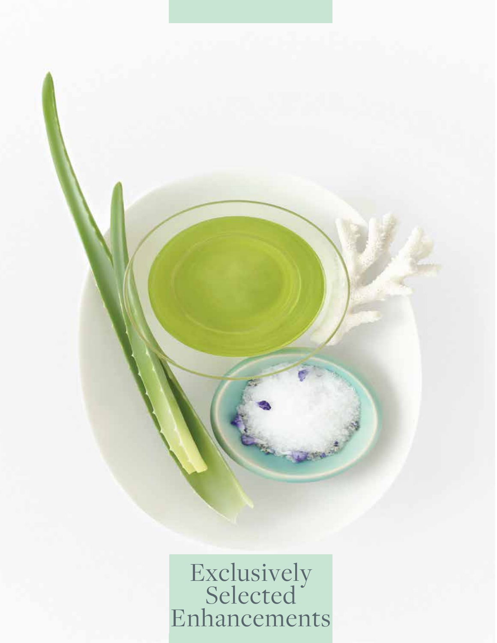

Exclusively Selected<sup>®</sup> Enhancements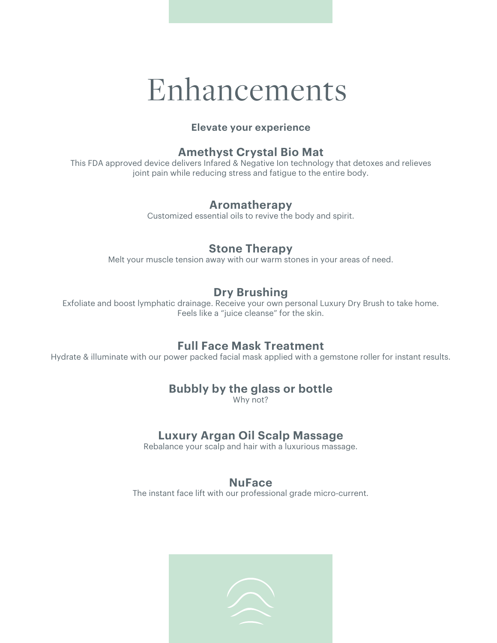## Enhancements

#### **Elevate your experience**

## **Amethyst Crystal Bio Mat**

This FDA approved device delivers Infared & Negative Ion technology that detoxes and relieves joint pain while reducing stress and fatigue to the entire body.

#### **Aromatherapy**

Customized essential oils to revive the body and spirit.

#### **Stone Therapy**

Melt your muscle tension away with our warm stones in your areas of need.

## **Dry Brushing**

Exfoliate and boost lymphatic drainage. Receive your own personal Luxury Dry Brush to take home. Feels like a "juice cleanse" for the skin.

## **Full Face Mask Treatment**

Hydrate & illuminate with our power packed facial mask applied with a gemstone roller for instant results.

## **Bubbly by the glass or bottle**

Why not?

## **Luxury Argan Oil Scalp Massage**

Rebalance your scalp and hair with a luxurious massage.

## **NuFace**

The instant face lift with our professional grade micro-current.

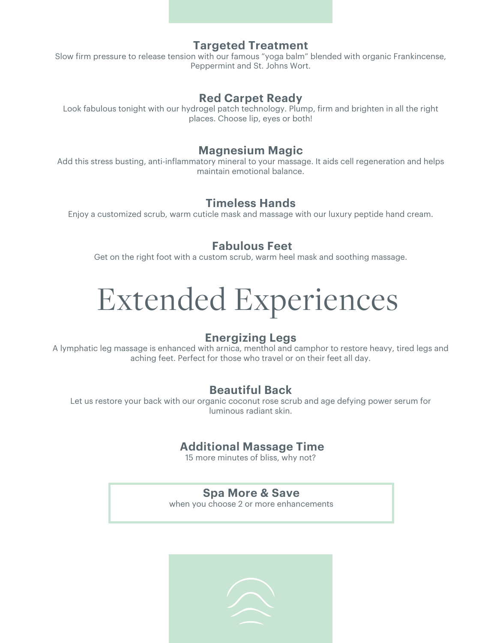#### **Targeted Treatment**

Slow firm pressure to release tension with our famous "yoga balm" blended with organic Frankincense, Peppermint and St. Johns Wort.

#### **Red Carpet Ready**

Look fabulous tonight with our hydrogel patch technology. Plump, firm and brighten in all the right places. Choose lip, eyes or both!

#### **Magnesium Magic**

Add this stress busting, anti-inflammatory mineral to your massage. It aids cell regeneration and helps maintain emotional balance.

#### **Timeless Hands**

Enjoy a customized scrub, warm cuticle mask and massage with our luxury peptide hand cream.

#### **Fabulous Feet**

Get on the right foot with a custom scrub, warm heel mask and soothing massage.

# Extended Experiences

#### **Energizing Legs**

A lymphatic leg massage is enhanced with arnica, menthol and camphor to restore heavy, tired legs and aching feet. Perfect for those who travel or on their feet all day.

## **Beautiful Back**

Let us restore your back with our organic coconut rose scrub and age defying power serum for luminous radiant skin.

## **Additional Massage Time**

15 more minutes of bliss, why not?

#### **Spa More & Save**

when you choose 2 or more enhancements

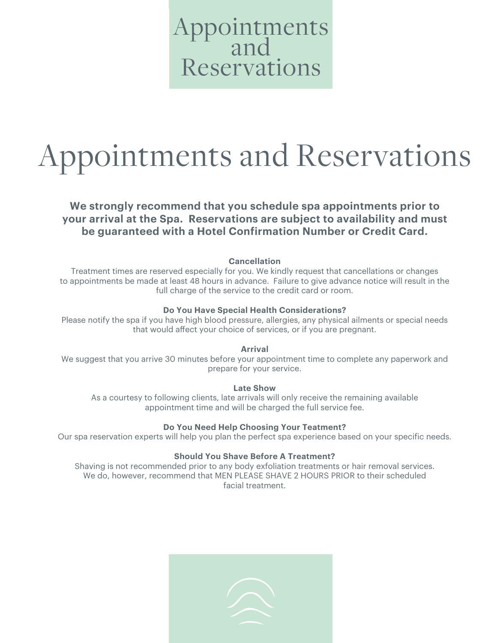## Appointments and Reservations

# Appointments and Reservations

**We strongly recommend that you schedule spa appointments prior to your arrival at the Spa. Reservations are subject to availability and must be guaranteed with a Hotel Confirmation Number or Credit Card.** 

#### **Cancellation**

Treatment times are reserved especially for you. We kindly request that cancellations or changes to appointments be made at least 48 hours in advance. Failure to give advance notice will result in the full charge of the service to the credit card or room.

#### **Do You Have Special Health Considerations?**

Please notify the spa if you have high blood pressure, allergies, any physical ailments or special needs that would affect your choice of services, or if you are pregnant.

#### **Arrival**

We suggest that you arrive 30 minutes before your appointment time to complete any paperwork and prepare for your service.

#### **Late Show**

As a courtesy to following clients, late arrivals will only receive the remaining available appointment time and will be charged the full service fee.

#### **Do You Need Help Choosing Your Teatment?**

Our spa reservation experts will help you plan the perfect spa experience based on your specific needs.

#### **Should You Shave Before A Treatment?**

Shaving is not recommended prior to any body exfoliation treatments or hair removal services. We do, however, recommend that MEN PLEASE SHAVE 2 HOURS PRIOR to their scheduled facial treatment.